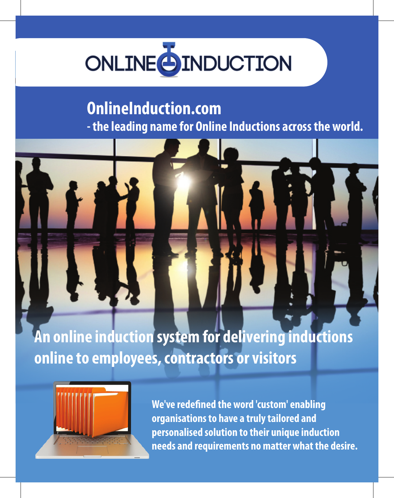# **ONLINE SINDUCTION**

# **OnlineInduction.com**

**- the leading name for Online Inductions across the world.**



**An online induction system for delivering inductions online to employees, contractors or visitors**



**We've redefined the word 'custom' enabling organisations to have a truly tailored and personalised solution to their unique induction needs and requirements no matter what the desire.**